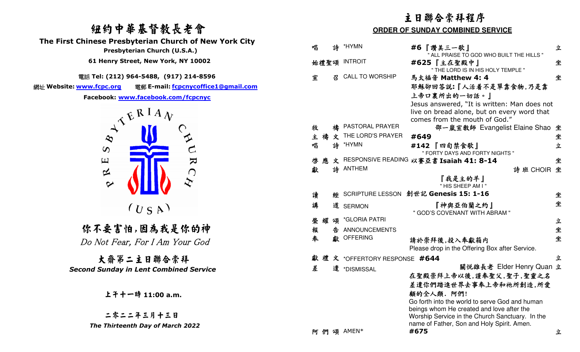# 紐約中華基督教長老會

 **The First Chinese Presbyterian Church of New York City** 

電話 **Tel: (212) 964-5488, (917) 214-8596** 

網址 Website: www.fcpc.org **Website: www.fcpc.org** 電郵 **E-mail: fcpcnycoffice1@gmail.com** 



 你不要害怕,因為我是你的神 Do Not Fear, For I Am Your God

大齋第二主日聯合崇拜*Second Sunday in Lent Combined Service* 

|                                                                                    |                                         |   |                              | 主日聯合崇拜程序                                                                                                                     |   |  |
|------------------------------------------------------------------------------------|-----------------------------------------|---|------------------------------|------------------------------------------------------------------------------------------------------------------------------|---|--|
| 纽约中華基督教長老會                                                                         | <b>ORDER OF SUNDAY COMBINED SERVICE</b> |   |                              |                                                                                                                              |   |  |
| <b>nese Presbyterian Church of New York City</b><br>Presbyterian Church (U.S.A.)   | 唱                                       | 詩 | *HYMN                        | #6『讚美三一歌』<br>" ALL PRAISE TO GOD WHO BUILT THE HILLS "                                                                       | 立 |  |
| 51 Henry Street, New York, NY 10002                                                |                                         |   | 始禮聖頌 INTROIT                 | #625『主在聖殿中』<br>" THE LORD IS IN HIS HOLY TEMPLE "                                                                            | 坐 |  |
| Tel: (212) 964-5488, (917) 214-8596                                                | 宣                                       | 召 | <b>CALL TO WORSHIP</b>       | 馬太福音 Matthew 4: 4                                                                                                            | 坐 |  |
| 電郵 E-mail: fcpcnycoffice1@gmail.com<br><u>v.fcpc.org</u>                           |                                         |   |                              | 耶穌卻回答說:『人活着不是單靠食物,乃是靠                                                                                                        |   |  |
| cebook: www.facebook.com/fcpcnyc                                                   |                                         |   |                              | 上帝口裏所出的一切話。』                                                                                                                 |   |  |
| $\lambda^{\mathcal{R}}$ $\mathbb{E}^{\mathbf{R} \mathbf{I} \mathbf{A}} \mathbf{v}$ |                                         |   |                              | Jesus answered, "It is written: Man does not<br>live on bread alone, but on every word that<br>comes from the mouth of God." |   |  |
|                                                                                    | 牧                                       |   | PASTORAL PRAYER              | 邵一嵐宣教師 Evangelist Elaine Shao 坐                                                                                              |   |  |
| $\infty$                                                                           | 主禱                                      | 文 | THE LORD'S PRAYER            | #649                                                                                                                         | 坐 |  |
| $\mathcal{C}$<br>$\infty$                                                          | 唱                                       |   | 詩 *HYMN                      | #142 『四旬禁食歌』<br>" FORTY DAYS AND FORTY NIGHTS "                                                                              | 立 |  |
| $\mathbf{z}$<br>$\Xi$                                                              | 應<br>啓                                  |   |                              | 文 RESPONSIVE READING 以賽亞書 Isaiah 41: 8-14                                                                                    | 坐 |  |
| 凶<br>◯                                                                             | 獻                                       |   | 詩 ANTHEM                     | 詩班 CHOIR 坐                                                                                                                   |   |  |
| $\sim$                                                                             |                                         |   |                              | 『我是主的羊』<br>" HIS SHEEP AM I"                                                                                                 |   |  |
|                                                                                    | 讀                                       |   |                              | ※ SCRIPTURE LESSON 創世記 Genesis 15: 1-16                                                                                      | 坐 |  |
| (U S A)                                                                            | 講                                       |   | 道 SERMON                     | 『神與亞伯蘭之約』<br>" GOD'S COVENANT WITH ABRAM "                                                                                   | 坐 |  |
|                                                                                    | 榮耀頌                                     |   | *GLORIA PATRI                |                                                                                                                              | 立 |  |
| :不要害怕,因為我是你的神                                                                      | 報                                       | 告 | <b>ANNOUNCEMENTS</b>         |                                                                                                                              | 坐 |  |
| Mot Fear, For I Am Your God                                                        | 奉                                       |   | 獻 OFFERING                   | 請於崇拜後,投入奉獻箱内<br>Please drop in the Offering Box after Service.                                                               | 坐 |  |
| 大齋第二主日聯合崇拜                                                                         | 獻                                       |   | 禮 文 *OFFERTORY RESPONSE #644 |                                                                                                                              | 立 |  |
| d Sunday in Lent Combined Service                                                  | 差                                       |   | 遣 *DISMISSAL                 | 關悦雄長老 Elder Henry Quan 立<br>在聖殿崇拜上帝以後,謹奉聖父,聖子,聖靈之名<br>差遣你們踏進世界去事奉上帝和祂所創造,所愛                                                  |   |  |
| 上午十一時 11:00 a.m.                                                                   |                                         |   |                              | 顧的全人類. 阿們!<br>Go forth into the world to serve God and human<br>beings whom He created and love after the                    |   |  |
| 二零二二年三月十三日                                                                         |                                         |   |                              | Worship Service in the Church Sanctuary. In the                                                                              |   |  |
| The Thirteenth Day of March 2022                                                   |                                         |   | 阿 們 頌 AMEN*                  | name of Father, Son and Holy Spirit. Amen.<br>#675                                                                           | 立 |  |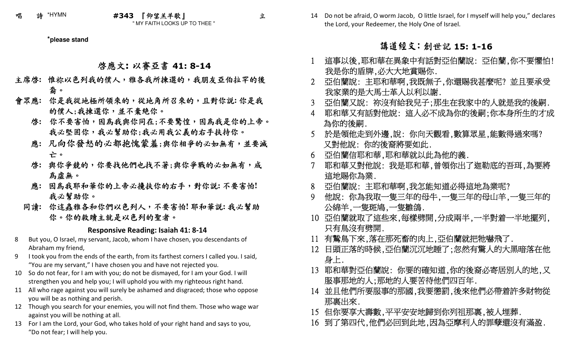**\*please stand**

# 啟應文**:** 以賽亞書 **41: 8-14**

- 主席啟**:** 惟祢以色列我的僕人,雅各我所揀選的,我朋友亞伯拉罕的後裔。
- 會眾應**:** 你是我從地極所領來的,從地角所召來的,且對你說**:** 你是我的僕人;我揀選你,並不棄絶你。
	- 啓: 你不要害怕,因為我與你同在;不要驚惶,因為我是你的上帝。 我必堅固你,我必幫助你;我必用我公義的右手扶持你。
	- 應**:** 凡向你發怒的必都抱愧蒙羞;與你相爭的必如無有,並要滅亡。
	- 啟**:** 與你爭競的,你要找他們也找不著;與你爭戰的必如無有,成為虛無。
	- 應**:** 因為我耶和華你的上帝必攙扶你的右手,對你說**:** 不要害怕**!** 我必幫助你。
	- 同讀**:** 你這蟲雅各和你們以色列人,不要害怕**!** 耶和華說**:** 我必幫助你。你的救贖主就是以色列的聖者。

#### **Responsive Reading: Isaiah 41: 8-14**

- 8 But you, O Israel, my servant, Jacob, whom I have chosen, you descendants of Abraham my friend,
- 9 I took you from the ends of the earth, from its farthest corners I called you. I said, "You are my servant," I have chosen you and have not rejected you.
- 10 So do not fear, for I am with you; do not be dismayed, for I am your God. I will strengthen you and help you; I will uphold you with my righteous right hand.
- 11 All who rage against you will surely be ashamed and disgraced; those who oppose you will be as nothing and perish.
- 12 Though you search for your enemies, you will not find them. Those who wage war against you will be nothing at all.
- 13 For I am the Lord, your God, who takes hold of your right hand and says to you, "Do not fear; I will help you.

14 Do not be afraid, O worm Jacob, O little Israel, for I myself will help you," declares the Lord, your Redeemer, the Holy One of Israel.

# **请道經文: 創世記 15: 1-16**

- 這事以後,耶和華在異象中有話對亞伯蘭說: 亞伯蘭,你不要懼怕! 1我是你的盾牌,必大大地賞賜你.
- 2 亞伯蘭說: 主耶和華啊,我既無子,你還賜我甚麼呢? 並且要承受 我家業的是大馬士革人以利以謝.
- 3 亞伯蘭又說: 祢沒有給我兒子;那生在我家中的人就是我的後嗣.
- 4 耶和華又有話對他說: 這人必不成為你的後嗣;你本身所生的才成 為你的後嗣.
- 於是領他走到外邊,說: 你向天觀看,數算眾星,能數得過來嗎? 5又對他說: 你的後裔將要如此.
- 6 亞伯蘭信耶和華,耶和華就以此為他的義.
- 7 耶和華又對他說: 我是耶和華,曾領你出了迦勒底的吾珥,為要將 這地賜你為業.
- 8 亞伯蘭說: 主耶和華啊,我怎能知道必得這地為業呢?
- 9 他說: 你為我取一隻三年的母牛,一隻三年的母山羊,一隻三年的 公綿羊,一隻斑鳩,一隻雛鴿.
- 10 亞伯蘭就取了這些來,每樣劈開,分成兩半,一半對着一半地擺列, 只有鳥沒有劈開.
- 11 有鷙鳥下來,落在那死畜的肉上,亞伯蘭就把牠嚇飛了.
- 12 日頭正落的時候,亞伯蘭沉沉地睡了;忽然有驚人的大黑暗落在他 身上.
- 13 耶和華對亞伯蘭說: 你要的確知道,你的後裔必寄居別人的地,又 服事那地的人;那地的人要苦待他們四百年.
- 14 並且他們所要服事的那國,我要懲罰,後來他們必帶着許多財物從 那裏出來.
- 15 但你要享大壽數,平平安安地歸到你列祖那裏,被人埋葬.
- 16 到了第四代,他們必回到此地,因為亞摩利人的罪孽還沒有滿盈.

立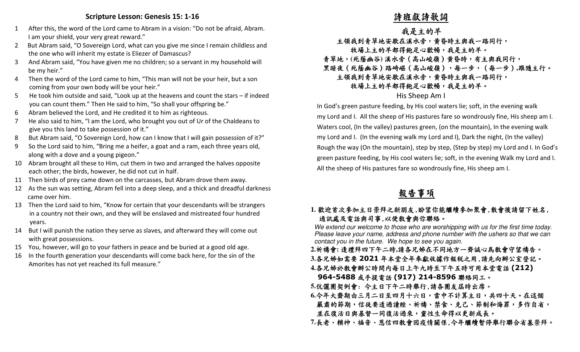### **Scripture Lesson: Genesis 15: 1-16**

- 1 After this, the word of the Lord came to Abram in a vision: "Do not be afraid, Abram. I am your shield, your very great reward."
- 2 But Abram said, "O Sovereign Lord, what can you give me since I remain childless and the one who will inherit my estate is Eliezer of Damascus?
- 3 And Abram said, "You have given me no children; so a servant in my household will be my heir."
- 4 Then the word of the Lord came to him, "This man will not be your heir, but a son coming from your own body will be your heir."
- 5 He took him outside and said, "Look up at the heavens and count the stars if indeed you can count them." Then He said to him, "So shall your offspring be."
- 6 Abram believed the Lord, and He credited it to him as righteous.
- 7 He also said to him, "I am the Lord, who brought you out of Ur of the Chaldeans to give you this land to take possession of it."
- 8 But Abram said, "O Sovereign Lord, how can I know that I will gain possession of it?"
- 9 So the Lord said to him, "Bring me a heifer, a goat and a ram, each three years old, along with a dove and a young pigeon."
- 10 Abram brought all these to Him, cut them in two and arranged the halves opposite each other; the birds, however, he did not cut in half.
- 11 Then birds of prey came down on the carcasses, but Abram drove them away.
- 12 As the sun was setting, Abram fell into a deep sleep, and a thick and dreadful darkness came over him.
- 13 Then the Lord said to him, "Know for certain that your descendants will be strangers in a country not their own, and they will be enslaved and mistreated four hundred years.
- 14 But I will punish the nation they serve as slaves, and afterward they will come out with great possessions.
- 15 You, however, will go to your fathers in peace and be buried at a good old age.
- 16 In the fourth generation your descendants will come back here, for the sin of the Amorites has not yet reached its full measure."

# 詩班獻詩歌詞

# 我是主的羊

# 主領我到青草地安歇在溪水旁,黄昏時主與我一路同行,

### 牧場上主的羊都得飽足心歡暢,我是主的羊。

青草地,**(**死蔭幽谷**)** 溪水旁(高山峻嶺)黃昏時,有主與我同行,

黑暗夜(死蔭幽谷)路崎嶇(高山峻嶺),每一步,(每一步)**,**跟隨主行。

## 主領我到青草地安歇在溪水旁,黄昏時主與我一路同行,

### 牧場上主的羊都得飽足心歡暢,我是主的羊。

### His Sheep Am I

 In God's green pasture feeding, by His cool waters lie; soft, in the evening walk my Lord and I. All the sheep of His pastures fare so wondrously fine, His sheep am I. Waters cool, (In the valley) pastures green, (on the mountain), In the evening walk my Lord and I. (In the evening walk my Lord and I), Dark the night, (In the valley) Rough the way (On the mountain), step by step, (Step by step) my Lord and I. In God's green pasture feeding, by His cool waters lie; soft, in the evening Walk my Lord and I. All the sheep of His pastures fare so wondrously fine, His sheep am I.

# 報告事項

## **1.** 歡迎首次參加主日崇拜之新朋友,盼望你能繼續參加聚會,散會後請留下姓名, 通訊處及電話與司事,以便敎會與你聯絡。

 We extend our welcome to those who are worshipping with us for the first time today. Please leave your name, address and phone number with the ushers so that we can contact you in the future. We hope to see you again.

**2.**祈禱會**:** 逢禮拜四下午二時**,**請各兄姊在不同地方一齊誠心為教會守望禱告。

3.各兄姊如需要 2021 年本堂全年奉獻收據作報税之用,請先向辦公室登記。<br>4.冬日始秋秋会辦公時明中年日上午上時至下午天時可用土尚電社(212)

- **4.**各兄姊於教會辦公時間內每日上午九時至下午五時可用本堂電話 **(212) 964-5488 或手提電話 (917) 214-8596 聯絡同工。**<br>5 伝*魔風知例合,* ヘナロ下午一時與行 法名風大尺時山座。
- **5.**伉儷團契例會: 今主日下午二時舉行,請各團友屆時出席。
- **6.**今年大齋期由三月二日至四月十六日,當中不計算主日,共四十天。在這個嚴肅的節期,信徒要透過讀經、祈禱、禁食、克己、節制和悔罪,多作自省, 並在復活日與基督一同復活過來,靈性生命得以更新成長。
- **7.**長老、賴神、福音、恩信四教會因疫情關係,今年繼續暫停舉行聯合省墓崇拜。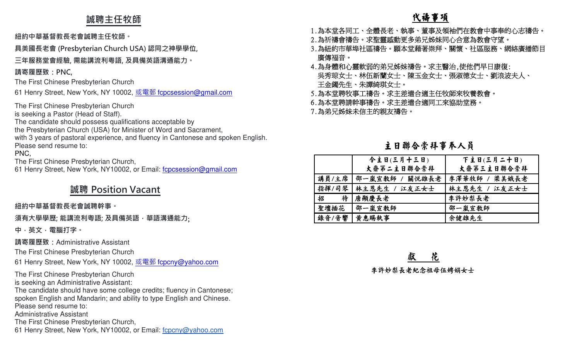# **誠聘主任牧師**

### **紐約中華基督教⻑老會誠聘主任牧師。**

**具美國⻑老會 (Presbyterian Church USA) 認同之神學學位,** 

**三年服務堂會經驗, 需能講流利粵語, 及具備英語溝通能力。** 

## **請寄履歷致:PNC,**

The First Chinese Presbyterian Church

61 Henry Street, New York, NY 10002, <u>或電郵 f<mark>cpcsession@gmail.co</mark>m</u>

The First Chinese Presbyterian Church

is seeking a Pastor (Head of Staff).

The candidate should possess qualifications acceptable by

the Presbyterian Church (USA) for Minister of Word and Sacrament,

 with 3 years of pastoral experience, and fluency in Cantonese and spoken English.Please send resume to:

### PNC,

The First Chinese Presbyterian Church,

61 Henry Street, New York, NY10002, or Email: fcpcsession@gmail.com

# **誠聘 Position Vacant**

### **紐約中華基督教⻑老會誠聘幹事。**

**須有大學學歷; 能講流利粵語; 及具備英語,華語溝通能力**;

**中,英文,電腦打字。 請寄履歷致:**Administrative Assistant

The First Chinese Presbyterian Church

61 Henry Street, New York, NY 10002, <u>或電郵 f<mark>cpcny@yahoo.com</mark></u>

The First Chinese Presbyterian Church is seeking an Administrative Assistant:

 The candidate should have some college credits; fluency in Cantonese; spoken English and Mandarin; and ability to type English and Chinese.Please send resume to:

Administrative Assistant

The First Chinese Presbyterian Church,

61 Henry Street, New York, NY10002, or Email: fcpcny@yahoo.com

# 代禱事項

- 
- 
- 
- 1.為本堂各同工、全體長老、執事、董事及領袖們在教會中事奉的心志禱告。<br>2.為祈禱會禱告。求聖靈感動更多弟兄姊妹同心合意為教會守望。<br>3.為紐約市華埠社區禱告。願本堂藉著崇拜、關懷、社區服務、網絡廣播節目<br>廣傳福音。<br>虞傳福音。<br>兵務體和心靈軟弱的弟兄姊妹禱告。求主醫治,使他們早日康復:<br>4.為身體和心靈軟弱的弟兄姊妹禱告。求主醫治,使他們早日康復:<br>天命,和生,本任新蘭女士、陳玉金女士、張淑德女士、劉浪波夫人、<br>5.為本堂聘牧事工禱告。
- 
- 

# 主日聯合崇拜事奉人員

|       | 今主日(三月十三日)             | 下主日(三月二十日)    |
|-------|------------------------|---------------|
|       | 大齋第二主日聯合崇拜             | 大齋第三主日聯合崇拜    |
|       | 講員/主席   邵一嵐宣敎師 / 關悦雄長老 | 李澤華牧師 / 梁美娥長老 |
|       | 指揮/司琴   林主恩先生 / 江友正女士  | 林主恩先生 / 江友正女士 |
| 招     | 待 唐顯慶長老                | 李許妙梨長老        |
| 聖壇插花  | 邵一嵐宣敎師                 | 邵一嵐宣教師        |
| 錄音/音響 | 黄惠賜執事                  | 余健雄先生         |

獻 花

李許妙梨長老紀念祖母伍娉娟女士